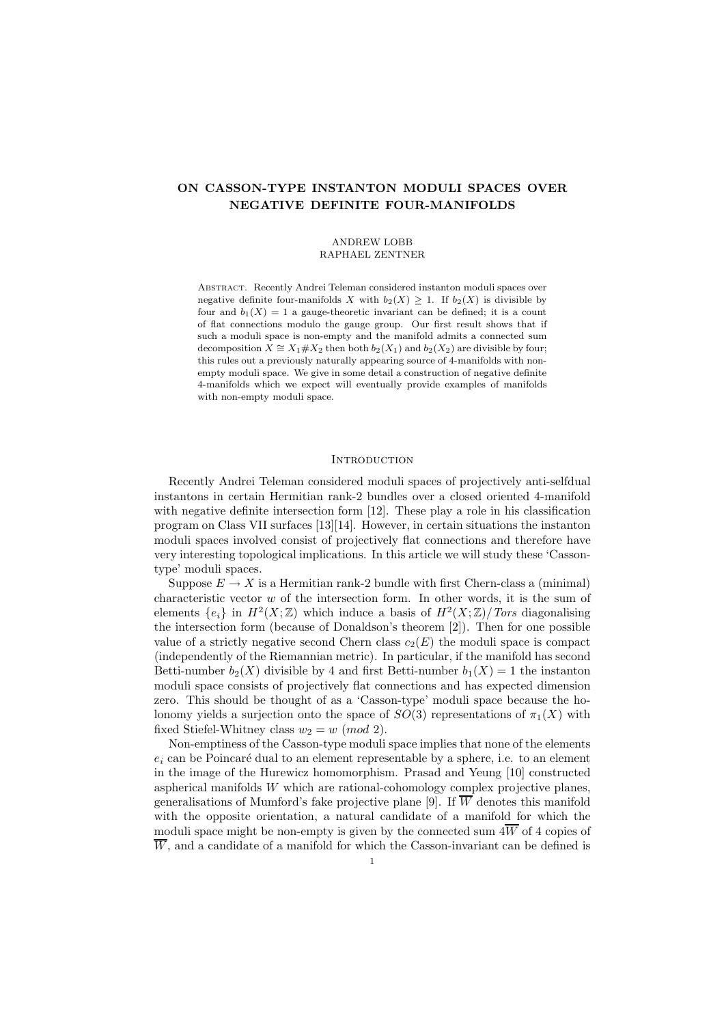# ON CASSON-TYPE INSTANTON MODULI SPACES OVER NEGATIVE DEFINITE FOUR-MANIFOLDS

#### ANDREW LOBB RAPHAEL ZENTNER

Abstract. Recently Andrei Teleman considered instanton moduli spaces over negative definite four-manifolds X with  $b_2(X) \geq 1$ . If  $b_2(X)$  is divisible by four and  $b_1(X) = 1$  a gauge-theoretic invariant can be defined; it is a count of flat connections modulo the gauge group. Our first result shows that if such a moduli space is non-empty and the manifold admits a connected sum decomposition  $X \cong X_1 \# X_2$  then both  $b_2(X_1)$  and  $b_2(X_2)$  are divisible by four; this rules out a previously naturally appearing source of 4-manifolds with nonempty moduli space. We give in some detail a construction of negative definite 4-manifolds which we expect will eventually provide examples of manifolds with non-empty moduli space.

#### **INTRODUCTION**

Recently Andrei Teleman considered moduli spaces of projectively anti-selfdual instantons in certain Hermitian rank-2 bundles over a closed oriented 4-manifold with negative definite intersection form [12]. These play a role in his classification program on Class VII surfaces [13][14]. However, in certain situations the instanton moduli spaces involved consist of projectively flat connections and therefore have very interesting topological implications. In this article we will study these 'Cassontype' moduli spaces.

Suppose  $E \to X$  is a Hermitian rank-2 bundle with first Chern-class a (minimal) characteristic vector  $w$  of the intersection form. In other words, it is the sum of elements  $\{e_i\}$  in  $H^2(X;\mathbb{Z})$  which induce a basis of  $H^2(X;\mathbb{Z})/Tors$  diagonalising the intersection form (because of Donaldson's theorem [2]). Then for one possible value of a strictly negative second Chern class  $c_2(E)$  the moduli space is compact (independently of the Riemannian metric). In particular, if the manifold has second Betti-number  $b_2(X)$  divisible by 4 and first Betti-number  $b_1(X) = 1$  the instanton moduli space consists of projectively flat connections and has expected dimension zero. This should be thought of as a 'Casson-type' moduli space because the holonomy yields a surjection onto the space of  $SO(3)$  representations of  $\pi_1(X)$  with fixed Stiefel-Whitney class  $w_2 = w \pmod{2}$ .

Non-emptiness of the Casson-type moduli space implies that none of the elements  $e_i$  can be Poincaré dual to an element representable by a sphere, i.e. to an element in the image of the Hurewicz homomorphism. Prasad and Yeung [10] constructed aspherical manifolds  $W$  which are rational-cohomology complex projective planes, generalisations of Mumford's fake projective plane [9]. If  $\overline{W}$  denotes this manifold with the opposite orientation, a natural candidate of a manifold for which the moduli space might be non-empty is given by the connected sum  $4\overline{W}$  of 4 copies of  $\overline{W}$ , and a candidate of a manifold for which the Casson-invariant can be defined is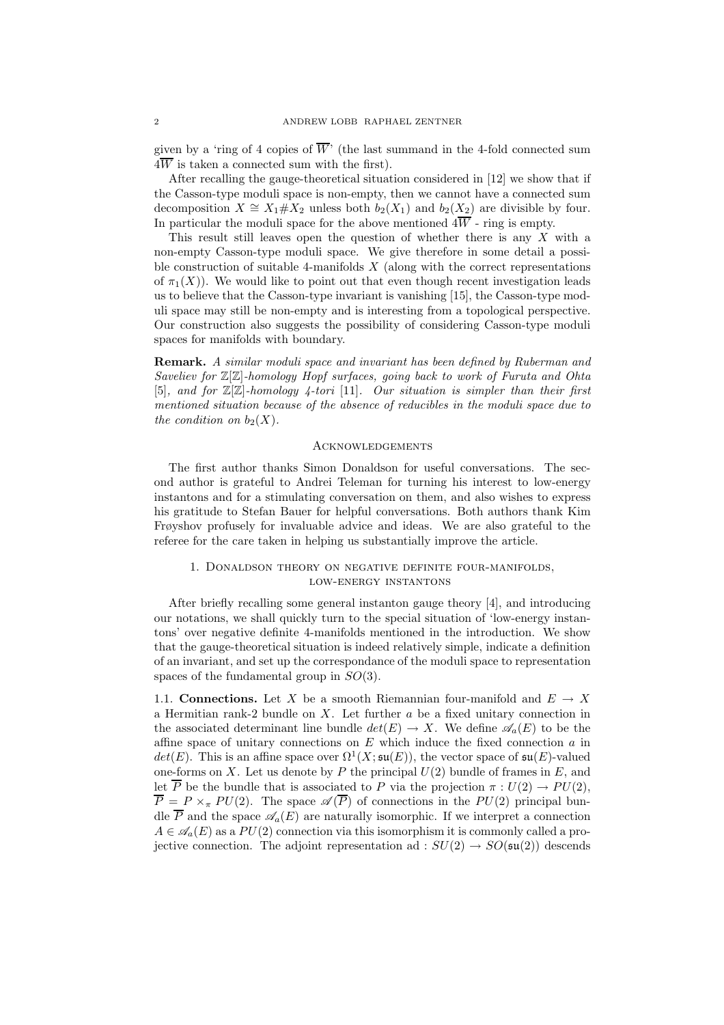given by a 'ring of 4 copies of  $\overline{W}$ ' (the last summand in the 4-fold connected sum  $4\overline{W}$  is taken a connected sum with the first).

After recalling the gauge-theoretical situation considered in [12] we show that if the Casson-type moduli space is non-empty, then we cannot have a connected sum decomposition  $X \cong X_1 \# X_2$  unless both  $b_2(X_1)$  and  $b_2(X_2)$  are divisible by four. In particular the moduli space for the above mentioned  $4\overline{W}$  - ring is empty.

This result still leaves open the question of whether there is any  $X$  with a non-empty Casson-type moduli space. We give therefore in some detail a possible construction of suitable 4-manifolds  $X$  (along with the correct representations of  $\pi_1(X)$ ). We would like to point out that even though recent investigation leads us to believe that the Casson-type invariant is vanishing [15], the Casson-type moduli space may still be non-empty and is interesting from a topological perspective. Our construction also suggests the possibility of considering Casson-type moduli spaces for manifolds with boundary.

Remark. *A similar moduli space and invariant has been defined by Ruberman and Saveliev for* Z[Z]*-homology Hopf surfaces, going back to work of Furuta and Ohta* [5]*, and for* Z[Z]*-homology 4-tori* [11]*. Our situation is simpler than their first mentioned situation because of the absence of reducibles in the moduli space due to the condition on*  $b_2(X)$ *.* 

#### Acknowledgements

The first author thanks Simon Donaldson for useful conversations. The second author is grateful to Andrei Teleman for turning his interest to low-energy instantons and for a stimulating conversation on them, and also wishes to express his gratitude to Stefan Bauer for helpful conversations. Both authors thank Kim Frøyshov profusely for invaluable advice and ideas. We are also grateful to the referee for the care taken in helping us substantially improve the article.

# 1. Donaldson theory on negative definite four-manifolds, low-energy instantons

After briefly recalling some general instanton gauge theory [4], and introducing our notations, we shall quickly turn to the special situation of 'low-energy instantons' over negative definite 4-manifolds mentioned in the introduction. We show that the gauge-theoretical situation is indeed relatively simple, indicate a definition of an invariant, and set up the correspondance of the moduli space to representation spaces of the fundamental group in  $SO(3)$ .

1.1. **Connections.** Let X be a smooth Riemannian four-manifold and  $E \rightarrow X$ a Hermitian rank-2 bundle on  $X$ . Let further  $a$  be a fixed unitary connection in the associated determinant line bundle  $det(E) \to X$ . We define  $\mathscr{A}_{\alpha}(E)$  to be the affine space of unitary connections on  $E$  which induce the fixed connection  $a$  in  $det(E)$ . This is an affine space over  $\Omega^1(X; \mathfrak{su}(E))$ , the vector space of  $\mathfrak{su}(E)$ -valued one-forms on X. Let us denote by P the principal  $U(2)$  bundle of frames in E, and let  $\overline{P}$  be the bundle that is associated to P via the projection  $\pi : U(2) \to PU(2)$ ,  $\overline{P} = P \times_{\pi} PU(2)$ . The space  $\mathscr{A}(\overline{P})$  of connections in the  $PU(2)$  principal bundle  $\overline{P}$  and the space  $\mathscr{A}_{a}(E)$  are naturally isomorphic. If we interpret a connection  $A \in \mathscr{A}_{a}(E)$  as a  $PU(2)$  connection via this isomorphism it is commonly called a projective connection. The adjoint representation ad :  $SU(2) \rightarrow SO(\mathfrak{su}(2))$  descends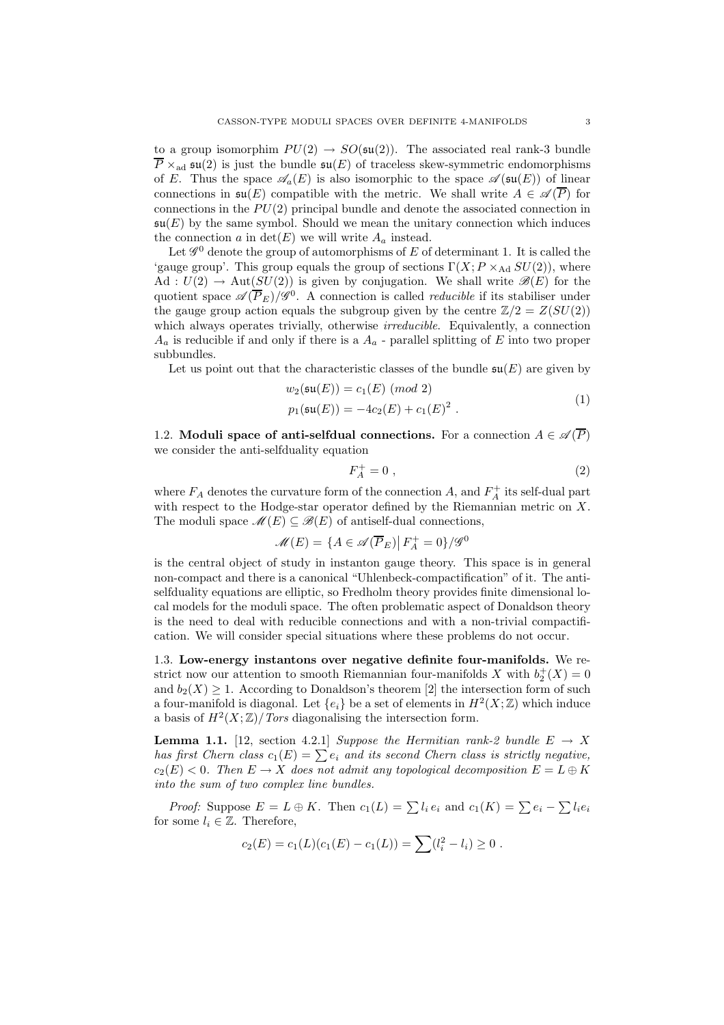to a group isomorphim  $PU(2) \rightarrow SO(\mathfrak{su}(2))$ . The associated real rank-3 bundle  $P \times_{\text{ad}} \mathfrak{su}(2)$  is just the bundle  $\mathfrak{su}(E)$  of traceless skew-symmetric endomorphisms of E. Thus the space  $\mathscr{A}_{a}(E)$  is also isomorphic to the space  $\mathscr{A}(\mathfrak{su}(E))$  of linear connections in  $\mathfrak{su}(E)$  compatible with the metric. We shall write  $A \in \mathscr{A}(\overline{P})$  for connections in the  $PU(2)$  principal bundle and denote the associated connection in  $\mathfrak{su}(E)$  by the same symbol. Should we mean the unitary connection which induces the connection a in  $\det(E)$  we will write  $A_a$  instead.

Let  $\mathscr{G}^0$  denote the group of automorphisms of E of determinant 1. It is called the 'gauge group'. This group equals the group of sections  $\Gamma(X; P \times_{\text{Ad}} SU(2))$ , where Ad :  $U(2) \rightarrow Aut(SU(2))$  is given by conjugation. We shall write  $\mathscr{B}(E)$  for the quotient space  $\mathscr{A}(\overline{P}_E)/\mathscr{G}^0$ . A connection is called *reducible* if its stabiliser under the gauge group action equals the subgroup given by the centre  $\mathbb{Z}/2 = Z(SU(2))$ which always operates trivially, otherwise *irreducible*. Equivalently, a connection  $A_a$  is reducible if and only if there is a  $A_a$  - parallel splitting of E into two proper subbundles.

Let us point out that the characteristic classes of the bundle  $\mathfrak{su}(E)$  are given by

$$
w_2(\mathfrak{su}(E)) = c_1(E) \pmod{2}
$$
  
\n
$$
p_1(\mathfrak{su}(E)) = -4c_2(E) + c_1(E)^2.
$$
\n(1)

1.2. Moduli space of anti-selfdual connections. For a connection  $A \in \mathscr{A}(\overline{P})$ we consider the anti-selfduality equation

$$
F_A^+ = 0 \tag{2}
$$

where  $F_A$  denotes the curvature form of the connection A, and  $F_A^+$  its self-dual part with respect to the Hodge-star operator defined by the Riemannian metric on  $X$ . The moduli space  $\mathcal{M}(E) \subseteq \mathcal{B}(E)$  of antiself-dual connections,

$$
\mathcal{M}(E) = \{ A \in \mathcal{A}(\overline{P}_E) | F_A^+ = 0 \} / \mathcal{G}^0
$$

is the central object of study in instanton gauge theory. This space is in general non-compact and there is a canonical "Uhlenbeck-compactification" of it. The antiselfduality equations are elliptic, so Fredholm theory provides finite dimensional local models for the moduli space. The often problematic aspect of Donaldson theory is the need to deal with reducible connections and with a non-trivial compactification. We will consider special situations where these problems do not occur.

1.3. Low-energy instantons over negative definite four-manifolds. We restrict now our attention to smooth Riemannian four-manifolds X with  $b_2^+(X) = 0$ and  $b_2(X) \geq 1$ . According to Donaldson's theorem [2] the intersection form of such a four-manifold is diagonal. Let  $\{e_i\}$  be a set of elements in  $H^2(X;\mathbb{Z})$  which induce a basis of  $H^2(X;\mathbb{Z})/Tors$  diagonalising the intersection form.

**Lemma 1.1.** [12, section 4.2.1] *Suppose the Hermitian rank-2 bundle*  $E \rightarrow X$ *has first Chern class*  $c_1(E) = \sum e_i$  *and its second Chern class is strictly negative,*  $c_2(E) < 0$ . Then  $E \to X$  does not admit any topological decomposition  $E = L \oplus K$ *into the sum of two complex line bundles.*

*Proof:* Suppose  $E = L \oplus K$ . Then  $c_1(L) = \sum l_i e_i$  and  $c_1(K) = \sum e_i - \sum l_i e_i$ for some  $l_i \in \mathbb{Z}$ . Therefore,

$$
c_2(E) = c_1(L)(c_1(E) - c_1(L)) = \sum (l_i^2 - l_i) \ge 0.
$$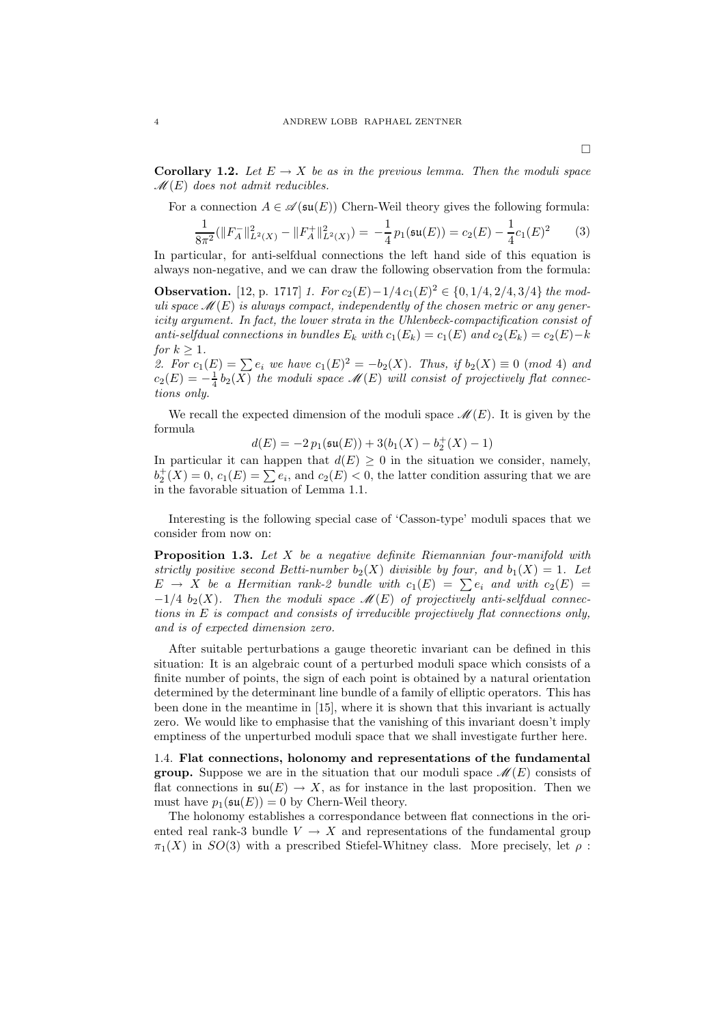**Corollary 1.2.** Let  $E \to X$  be as in the previous lemma. Then the moduli space M(E) *does not admit reducibles.*

For a connection  $A \in \mathscr{A}(\mathfrak{su}(E))$  Chern-Weil theory gives the following formula:

$$
\frac{1}{8\pi^2}(\|F_A^-\|_{L^2(X)}^2 - \|F_A^+\|_{L^2(X)}^2) = -\frac{1}{4}p_1(\mathfrak{su}(E)) = c_2(E) - \frac{1}{4}c_1(E)^2 \tag{3}
$$

In particular, for anti-selfdual connections the left hand side of this equation is always non-negative, and we can draw the following observation from the formula:

**Observation.** [12, p. 1717] *1. For*  $c_2(E) - 1/4 c_1(E)^2 \in \{0, 1/4, 2/4, 3/4\}$  *the moduli space*  $\mathcal{M}(E)$  *is always compact, independently of the chosen metric or any genericity argument. In fact, the lower strata in the Uhlenbeck-compactification consist of anti-selfdual connections in bundles*  $E_k$  *with*  $c_1(E_k) = c_1(E)$  *and*  $c_2(E_k) = c_2(E) - k$ *for*  $k > 1$ *.* 

2. For  $c_1(E) = \sum e_i$  we have  $c_1(E)^2 = -b_2(X)$ . Thus, if  $b_2(X) \equiv 0 \pmod{4}$  and  $c_2(E) = -\frac{1}{4}b_2(\overline{X})$  the moduli space  $\mathscr{M}(E)$  will consist of projectively flat connec*tions only.*

We recall the expected dimension of the moduli space  $\mathcal{M}(E)$ . It is given by the formula

$$
d(E) = -2 p_1(\mathfrak{su}(E)) + 3(b_1(X) - b_2^+(X) - 1)
$$

In particular it can happen that  $d(E) \geq 0$  in the situation we consider, namely,  $b_2^+(X) = 0, c_1(E) = \sum e_i$ , and  $c_2(E) < 0$ , the latter condition assuring that we are in the favorable situation of Lemma 1.1.

Interesting is the following special case of 'Casson-type' moduli spaces that we consider from now on:

Proposition 1.3. *Let* X *be a negative definite Riemannian four-manifold with strictly positive second Betti-number*  $b_2(X)$  *divisible by four, and*  $b_1(X) = 1$ *. Let*  $E \rightarrow X$  be a Hermitian rank-2 bundle with  $c_1(E) = \sum e_i$  and with  $c_2(E) =$  $-1/4$   $b_2(X)$ . Then the moduli space  $\mathcal{M}(E)$  of projectively anti-selfdual connec*tions in* E *is compact and consists of irreducible projectively flat connections only, and is of expected dimension zero.*

After suitable perturbations a gauge theoretic invariant can be defined in this situation: It is an algebraic count of a perturbed moduli space which consists of a finite number of points, the sign of each point is obtained by a natural orientation determined by the determinant line bundle of a family of elliptic operators. This has been done in the meantime in [15], where it is shown that this invariant is actually zero. We would like to emphasise that the vanishing of this invariant doesn't imply emptiness of the unperturbed moduli space that we shall investigate further here.

1.4. Flat connections, holonomy and representations of the fundamental **group.** Suppose we are in the situation that our moduli space  $\mathcal{M}(E)$  consists of flat connections in  $\mathfrak{su}(E) \to X$ , as for instance in the last proposition. Then we must have  $p_1(\mathfrak{su}(E)) = 0$  by Chern-Weil theory.

The holonomy establishes a correspondance between flat connections in the oriented real rank-3 bundle  $V \rightarrow X$  and representations of the fundamental group  $\pi_1(X)$  in  $SO(3)$  with a prescribed Stiefel-Whitney class. More precisely, let  $\rho$ :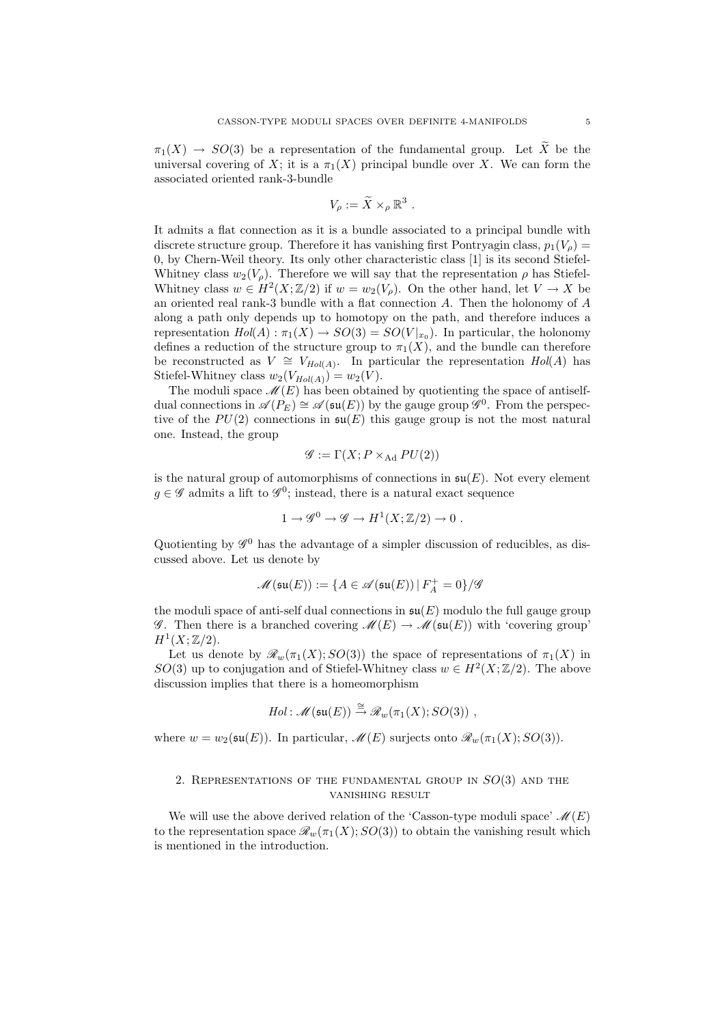$\pi_1(X) \to SO(3)$  be a representation of the fundamental group. Let  $\tilde{X}$  be the universal covering of X; it is a  $\pi_1(X)$  principal bundle over X. We can form the associated oriented rank-3-bundle

$$
V_{\rho} := \widetilde{X} \times_{\rho} \mathbb{R}^3.
$$

It admits a flat connection as it is a bundle associated to a principal bundle with discrete structure group. Therefore it has vanishing first Pontryagin class,  $p_1(V_o)$  = 0, by Chern-Weil theory. Its only other characteristic class [1] is its second Stiefel-Whitney class  $w_2(V_\rho)$ . Therefore we will say that the representation  $\rho$  has Stiefel-Whitney class  $w \in H^2(X;\mathbb{Z}/2)$  if  $w = w_2(V_\rho)$ . On the other hand, let  $V \to X$  be an oriented real rank-3 bundle with a flat connection  $A$ . Then the holonomy of  $A$ along a path only depends up to homotopy on the path, and therefore induces a representation  $Hol(A) : \pi_1(X) \to SO(3) = SO(V|_{x_0})$ . In particular, the holonomy defines a reduction of the structure group to  $\pi_1(X)$ , and the bundle can therefore be reconstructed as  $V \cong V_{Hol(A)}$ . In particular the representation  $Hol(A)$  has Stiefel-Whitney class  $w_2(V_{Hol(A)}) = w_2(V)$ .

The moduli space  $\mathcal{M}(E)$  has been obtained by quotienting the space of antiselfdual connections in  $\mathscr{A}(P_E) \cong \mathscr{A}(\mathfrak{su}(E))$  by the gauge group  $\mathscr{G}^0$ . From the perspective of the  $PU(2)$  connections in  $\mathfrak{su}(E)$  this gauge group is not the most natural one. Instead, the group

$$
\mathscr{G} := \Gamma(X; P \times_{\text{Ad}} PU(2))
$$

is the natural group of automorphisms of connections in  $\mathfrak{su}(E)$ . Not every element  $g \in \mathscr{G}$  admits a lift to  $\mathscr{G}^0$ ; instead, there is a natural exact sequence

$$
1 \to \mathscr{G}^0 \to \mathscr{G} \to H^1(X;\mathbb{Z}/2) \to 0.
$$

Quotienting by  $\mathscr{G}^0$  has the advantage of a simpler discussion of reducibles, as discussed above. Let us denote by

$$
\mathscr{M}(\mathfrak{su}(E)):=\{A\in\mathscr{A}(\mathfrak{su}(E))\,|\,F_A^+=0\}/\mathscr{G}
$$

the moduli space of anti-self dual connections in  $\mathfrak{su}(E)$  modulo the full gauge group G. Then there is a branched covering  $\mathcal{M}(E) \to \mathcal{M}(\mathfrak{su}(E))$  with 'covering group'  $H^1(X;\mathbb{Z}/2).$ 

Let us denote by  $\mathcal{R}_w(\pi_1(X); SO(3))$  the space of representations of  $\pi_1(X)$  in SO(3) up to conjugation and of Stiefel-Whitney class  $w \in H^2(X;\mathbb{Z}/2)$ . The above discussion implies that there is a homeomorphism

*Hol*: 
$$
\mathscr{M}(\mathfrak{su}(E)) \stackrel{\cong}{\rightarrow} \mathscr{R}_w(\pi_1(X); SO(3))
$$
,

where  $w = w_2(\mathfrak{su}(E))$ . In particular,  $\mathcal{M}(E)$  surjects onto  $\mathcal{R}_w(\pi_1(X); SO(3))$ .

# 2. REPRESENTATIONS OF THE FUNDAMENTAL GROUP IN  $SO(3)$  and the vanishing result

We will use the above derived relation of the 'Casson-type moduli space'  $\mathcal{M}(E)$ to the representation space  $\mathcal{R}_w(\pi_1(X); SO(3))$  to obtain the vanishing result which is mentioned in the introduction.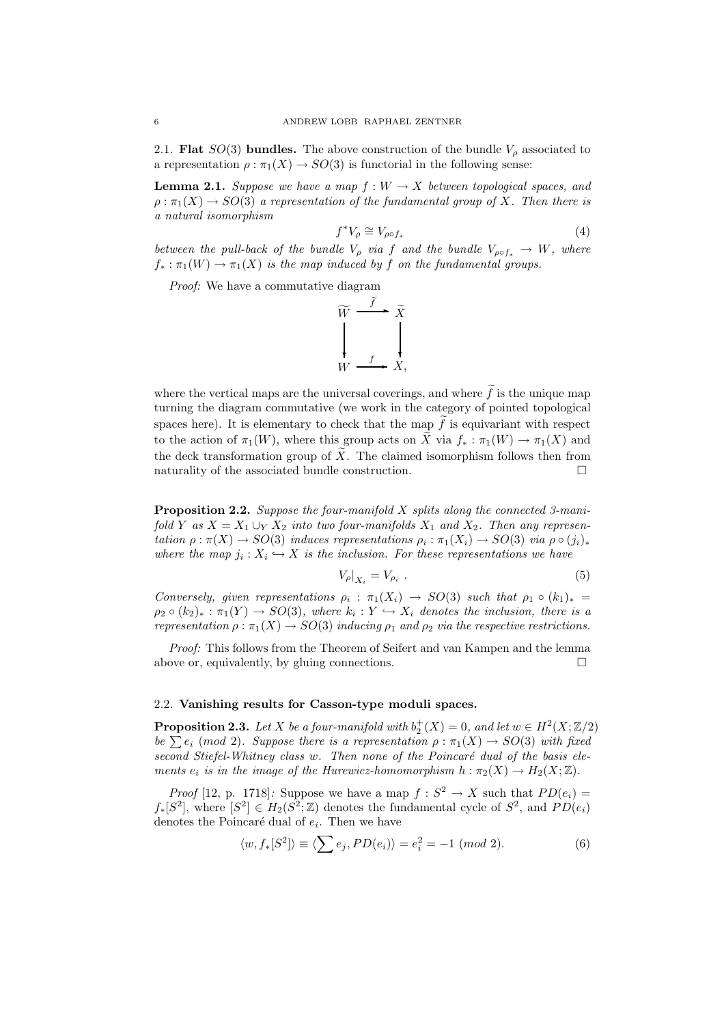2.1. **Flat**  $SO(3)$  **bundles.** The above construction of the bundle  $V_\rho$  associated to a representation  $\rho : \pi_1(X) \to SO(3)$  is functorial in the following sense:

**Lemma 2.1.** *Suppose we have a map*  $f : W \to X$  *between topological spaces, and*  $\rho : \pi_1(X) \to SO(3)$  *a representation of the fundamental group of* X. Then there is *a natural isomorphism*

$$
f^*V_\rho \cong V_{\rho \circ f_*} \tag{4}
$$

*between the pull-back of the bundle*  $V_{\rho}$  *via* f *and the bundle*  $V_{\rho \circ f_*} \to W$ *, where*  $f_* : \pi_1(W) \to \pi_1(X)$  *is the map induced by* f *on the fundamental groups.* 

*Proof:* We have a commutative diagram



where the vertical maps are the universal coverings, and where  $\tilde{f}$  is the unique map turning the diagram commutative (we work in the category of pointed topological spaces here). It is elementary to check that the map  $\tilde{f}$  is equivariant with respect to the action of  $\pi_1(W)$ , where this group acts on  $\widetilde{X}$  via  $f_* : \pi_1(W) \to \pi_1(X)$  and the deck transformation group of  $\tilde{X}$ . The claimed isomorphism follows then from naturality of the associated bundle construction.  $\Box$ 

Proposition 2.2. *Suppose the four-manifold* X *splits along the connected 3-manifold Y as*  $X = X_1 \cup_Y X_2$  *into two four-manifolds*  $X_1$  *and*  $X_2$ *. Then any representation*  $\rho : \pi(X) \to SO(3)$  *induces representations*  $\rho_i : \pi_1(X_i) \to SO(3)$  *via*  $\rho \circ (j_i)_*$ where the map  $j_i: X_i \hookrightarrow X$  is the inclusion. For these representations we have

$$
V_{\rho}|_{X_i} = V_{\rho_i} \tag{5}
$$

*Conversely, given representations*  $\rho_i : \pi_1(X_i) \to SO(3)$  *such that*  $\rho_1 \circ (k_1)_* =$  $\rho_2 \circ (k_2)_*: \pi_1(Y) \to SO(3)$ , where  $k_i: Y \hookrightarrow X_i$  denotes the inclusion, there is a *representation*  $\rho : \pi_1(X) \to SO(3)$  *inducing*  $\rho_1$  *and*  $\rho_2$  *via the respective restrictions.* 

*Proof:* This follows from the Theorem of Seifert and van Kampen and the lemma above or, equivalently, by gluing connections.  $\Box$ 

## 2.2. Vanishing results for Casson-type moduli spaces.

**Proposition 2.3.** Let X be a four-manifold with  $b_2^+(X) = 0$ , and let  $w \in H^2(X; \mathbb{Z}/2)$ *be*  $\sum e_i \pmod{2}$ *. Suppose there is a representation*  $\rho : \pi_1(X) \to SO(3)$  *with fixed* second Stiefel-Whitney class w. Then none of the Poincaré dual of the basis ele*ments*  $e_i$  *is in the image of the Hurewicz-homomorphism*  $h : \pi_2(X) \to H_2(X; \mathbb{Z})$ .

*Proof* [12, p. 1718]: Suppose we have a map  $f : S^2 \to X$  such that  $PD(e_i) =$  $f_*[S^2]$ , where  $[S^2] \in H_2(S^2;\mathbb{Z})$  denotes the fundamental cycle of  $S^2$ , and  $PD(e_i)$ denotes the Poincaré dual of  $e_i$ . Then we have

$$
\langle w, f_*[S^2] \rangle \equiv \langle \sum e_j, PD(e_i) \rangle = e_i^2 = -1 \pmod{2}.
$$
 (6)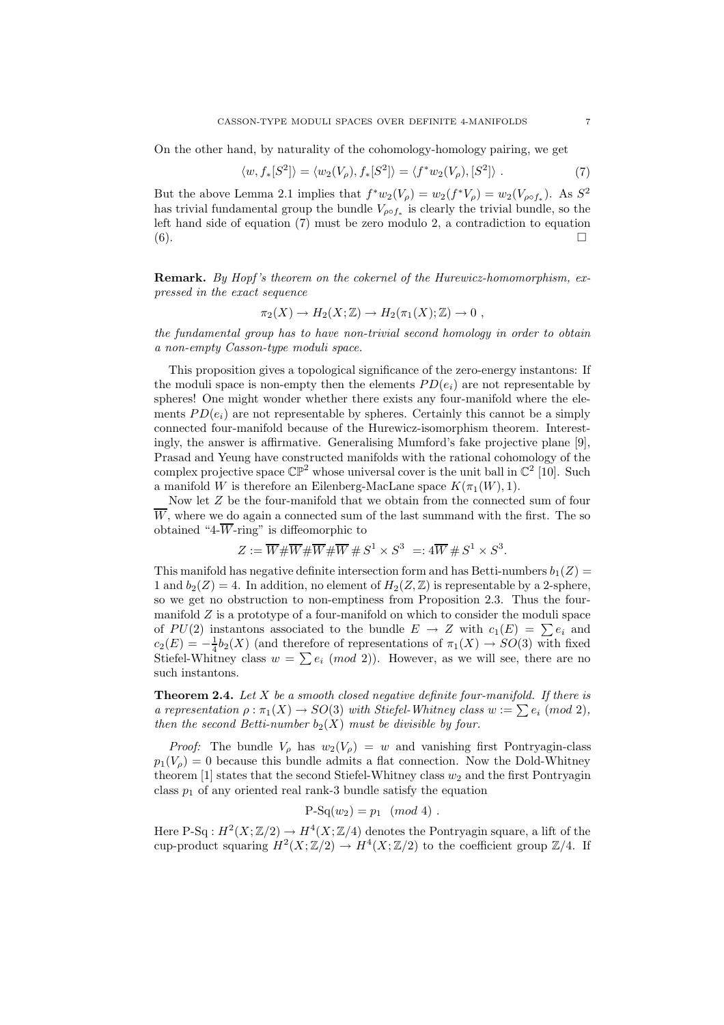On the other hand, by naturality of the cohomology-homology pairing, we get

$$
\langle w, f_*[S^2] \rangle = \langle w_2(V_\rho), f_*[S^2] \rangle = \langle f^* w_2(V_\rho), [S^2] \rangle . \tag{7}
$$

But the above Lemma 2.1 implies that  $f^*w_2(V_\rho) = w_2(f^*V_\rho) = w_2(V_{\rho \circ f_*})$ . As  $S^2$ has trivial fundamental group the bundle  $V_{\rho \circ f_*}$  is clearly the trivial bundle, so the left hand side of equation (7) must be zero modulo 2, a contradiction to equation  $(6).$ 

Remark. *By Hopf 's theorem on the cokernel of the Hurewicz-homomorphism, expressed in the exact sequence*

$$
\pi_2(X) \to H_2(X;\mathbb{Z}) \to H_2(\pi_1(X);\mathbb{Z}) \to 0 ,
$$

*the fundamental group has to have non-trivial second homology in order to obtain a non-empty Casson-type moduli space.*

This proposition gives a topological significance of the zero-energy instantons: If the moduli space is non-empty then the elements  $PD(e_i)$  are not representable by spheres! One might wonder whether there exists any four-manifold where the elements  $PD(e_i)$  are not representable by spheres. Certainly this cannot be a simply connected four-manifold because of the Hurewicz-isomorphism theorem. Interestingly, the answer is affirmative. Generalising Mumford's fake projective plane [9], Prasad and Yeung have constructed manifolds with the rational cohomology of the complex projective space  $\mathbb{CP}^2$  whose universal cover is the unit ball in  $\mathbb{C}^2$  [10]. Such a manifold W is therefore an Eilenberg-MacLane space  $K(\pi_1(W), 1)$ .

Now let Z be the four-manifold that we obtain from the connected sum of four  $\overline{W}$ , where we do again a connected sum of the last summand with the first. The so obtained "4- $\overline{W}$ -ring" is diffeomorphic to

$$
Z := \overline{W} \# \overline{W} \# \overline{W} \# \overline{W} \# S^1 \times S^3 =: 4\overline{W} \# S^1 \times S^3.
$$

This manifold has negative definite intersection form and has Betti-numbers  $b_1(Z)$  = 1 and  $b_2(Z) = 4$ . In addition, no element of  $H_2(Z, \mathbb{Z})$  is representable by a 2-sphere, so we get no obstruction to non-emptiness from Proposition 2.3. Thus the fourmanifold  $Z$  is a prototype of a four-manifold on which to consider the moduli space of  $PU(2)$  instantons associated to the bundle  $E \to Z$  with  $c_1(E) = \sum e_i$  and  $c_2(E) = -\frac{1}{4}b_2(X)$  (and therefore of representations of  $\pi_1(X) \to SO(3)$  with fixed Stiefel-Whitney class  $w = \sum e_i \pmod{2}$ . However, as we will see, there are no such instantons.

Theorem 2.4. *Let* X *be a smooth closed negative definite four-manifold. If there is a representation*  $\rho : \pi_1(X) \to SO(3)$  *with Stiefel-Whitney class*  $w := \sum e_i \pmod{2}$ , *then the second Betti-number*  $b_2(X)$  *must be divisible by four.* 

*Proof:* The bundle  $V_\rho$  has  $w_2(V_\rho) = w$  and vanishing first Pontryagin-class  $p_1(V_0) = 0$  because this bundle admits a flat connection. Now the Dold-Whitney theorem  $[1]$  states that the second Stiefel-Whitney class  $w_2$  and the first Pontryagin class  $p_1$  of any oriented real rank-3 bundle satisfy the equation

$$
P-Sq(w_2) = p_1 \pmod{4} .
$$

Here P-Sq :  $H^2(X;\mathbb{Z}/2) \to H^4(X;\mathbb{Z}/4)$  denotes the Pontryagin square, a lift of the cup-product squaring  $H^2(X;\mathbb{Z}/2) \to H^4(X;\mathbb{Z}/2)$  to the coefficient group  $\mathbb{Z}/4$ . If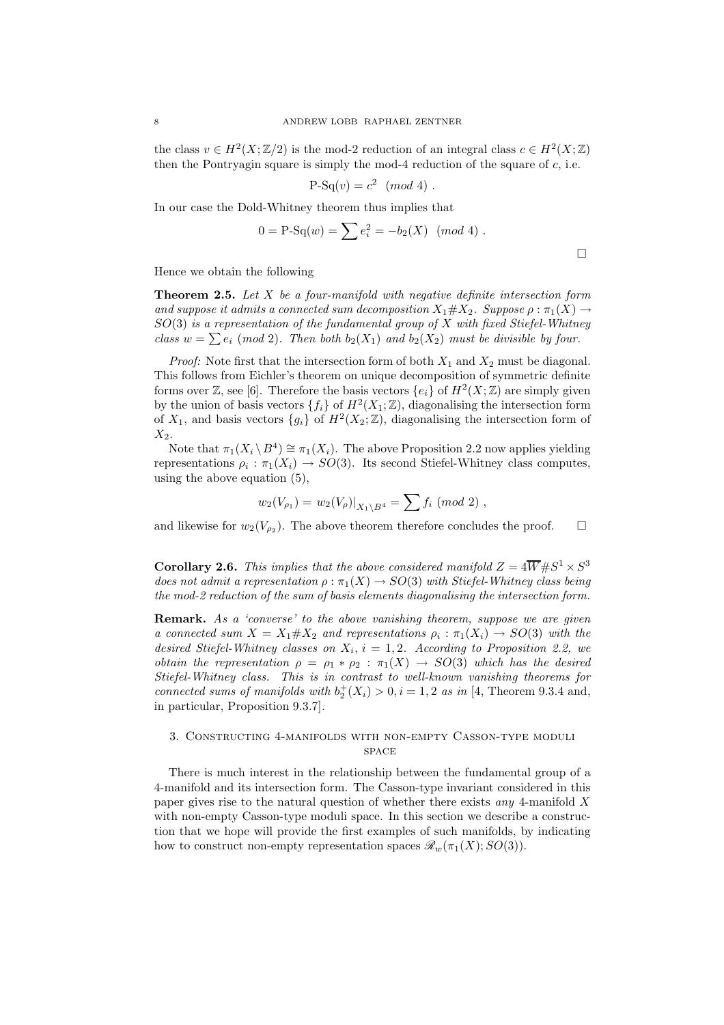the class  $v \in H^2(X; \mathbb{Z}/2)$  is the mod-2 reduction of an integral class  $c \in H^2(X; \mathbb{Z})$ then the Pontryagin square is simply the mod-4 reduction of the square of  $c$ , i.e.

$$
P-Sq(v) = c^2 \pmod{4} .
$$

In our case the Dold-Whitney theorem thus implies that

$$
0 = \text{P-Sq}(w) = \sum e_i^2 = -b_2(X) \pmod{4} \; .
$$

 $\Box$ 

Hence we obtain the following

Theorem 2.5. *Let* X *be a four-manifold with negative definite intersection form and suppose it admits a connected sum decomposition*  $X_1 \# X_2$ *. Suppose*  $\rho : \pi_1(X) \rightarrow$ SO(3) *is a representation of the fundamental group of* X *with fixed Stiefel-Whitney class*  $w = \sum e_i \pmod{2}$ . Then both  $b_2(X_1)$  *and*  $b_2(X_2)$  *must be divisible by four.* 

*Proof:* Note first that the intersection form of both  $X_1$  and  $X_2$  must be diagonal. This follows from Eichler's theorem on unique decomposition of symmetric definite forms over  $\mathbb{Z}$ , see [6]. Therefore the basis vectors  $\{e_i\}$  of  $H^2(X;\mathbb{Z})$  are simply given by the union of basis vectors  $\{f_i\}$  of  $H^2(X_1; \mathbb{Z})$ , diagonalising the intersection form of  $X_1$ , and basis vectors  $\{g_i\}$  of  $H^2(X_2; \mathbb{Z})$ , diagonalising the intersection form of  $X_2$ .

Note that  $\pi_1(X_i \setminus B^4) \cong \pi_1(X_i)$ . The above Proposition 2.2 now applies yielding representations  $\rho_i : \pi_1(X_i) \to SO(3)$ . Its second Stiefel-Whitney class computes, using the above equation (5),

$$
w_2(V_{\rho_1}) = w_2(V_{\rho})|_{X_1 \setminus B^4} = \sum f_i \ (mod \ 2) ,
$$

and likewise for  $w_2(V_{\rho_2})$ . The above theorem therefore concludes the proof.  $\square$ 

**Corollary 2.6.** This implies that the above considered manifold  $Z = 4\overline{W} + S^1 \times S^3$ *does not admit a representation*  $\rho : \pi_1(X) \to SO(3)$  *with Stiefel-Whitney class being the mod-2 reduction of the sum of basis elements diagonalising the intersection form.*

Remark. *As a 'converse' to the above vanishing theorem, suppose we are given a connected sum*  $X = X_1 \# X_2$  *and representations*  $\rho_i : \pi_1(X_i) \to SO(3)$  *with the* desired Stiefel-Whitney classes on  $X_i$ ,  $i = 1, 2$ . According to Proposition 2.2, we *obtain the representation*  $\rho = \rho_1 * \rho_2 : \pi_1(X) \to SO(3)$  *which has the desired Stiefel-Whitney class. This is in contrast to well-known vanishing theorems for connected sums of manifolds with*  $b_2^+(X_i) > 0, i = 1, 2$  *as in* [4, Theorem 9.3.4 and, in particular, Proposition 9.3.7]*.*

# 3. Constructing 4-manifolds with non-empty Casson-type moduli **SPACE**

There is much interest in the relationship between the fundamental group of a 4-manifold and its intersection form. The Casson-type invariant considered in this paper gives rise to the natural question of whether there exists *any* 4-manifold X with non-empty Casson-type moduli space. In this section we describe a construction that we hope will provide the first examples of such manifolds, by indicating how to construct non-empty representation spaces  $\mathscr{R}_w(\pi_1(X); SO(3)).$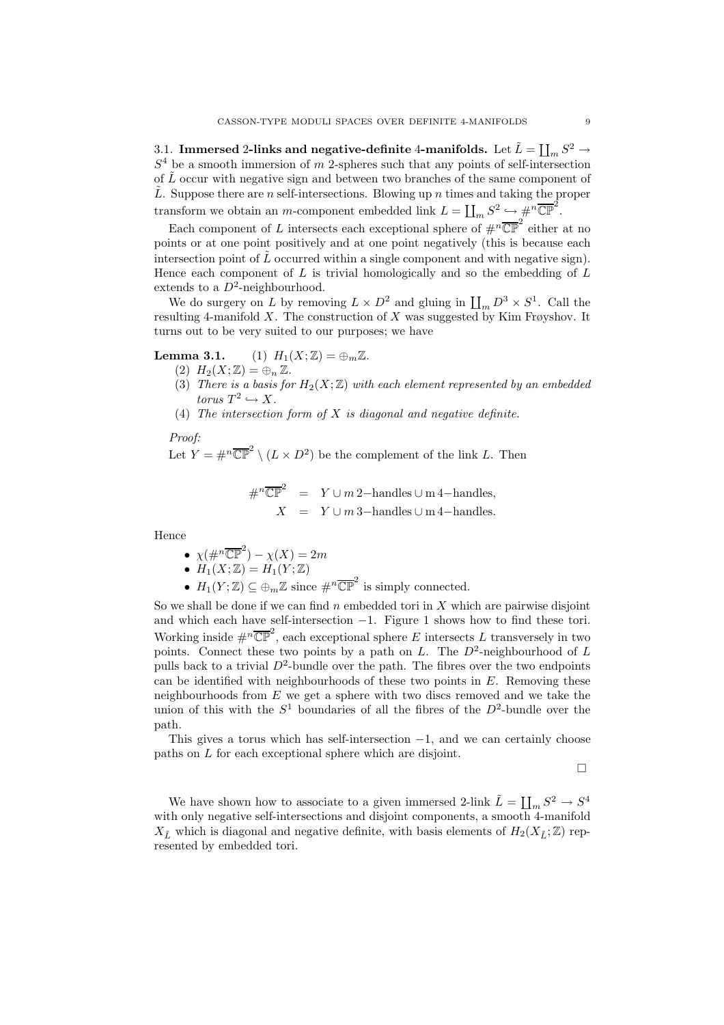3.1. Immersed 2-links and negative-definite 4-manifolds. Let  $\tilde{L} = \coprod_m S^2 \to$  $S<sup>4</sup>$  be a smooth immersion of m 2-spheres such that any points of self-intersection of  $\tilde{L}$  occur with negative sign and between two branches of the same component of  $\tilde{L}$ . Suppose there are n self-intersections. Blowing up n times and taking the proper transform we obtain an *m*-component embedded link  $L = \coprod_m S^2 \hookrightarrow \#^n \overline{\mathbb{CP}}^2$ .

Each component of L intersects each exceptional sphere of  $\#^n\overline{\mathbb{CP}}^2$  either at no points or at one point positively and at one point negatively (this is because each intersection point of  $\tilde{L}$  occurred within a single component and with negative sign). Hence each component of  $L$  is trivial homologically and so the embedding of  $L$ extends to a  $D^2$ -neighbourhood.

We do surgery on L by removing  $L \times D^2$  and gluing in  $\prod_m D^3 \times S^1$ . Call the resulting 4-manifold X. The construction of X was suggested by Kim Frøyshov. It turns out to be very suited to our purposes; we have

**Lemma 3.1.** (1)  $H_1(X;\mathbb{Z}) = \bigoplus_m \mathbb{Z}$ .

- (2)  $H_2(X;\mathbb{Z}) = \bigoplus_n \mathbb{Z}$ .
- (3) *There is a basis for*  $H_2(X;\mathbb{Z})$  *with each element represented by an embedded*  $torus T^2 \hookrightarrow X.$
- (4) *The intersection form of* X *is diagonal and negative definite.*

*Proof:*

Let  $Y = \#^n \overline{\mathbb{CP}}^2 \setminus (L \times D^2)$  be the complement of the link L. Then

$$
\#^n \overline{\mathbb{CP}}^2 = Y \cup m \, 2-\text{ handles } \cup \text{m } 4-\text{ handles},
$$
  

$$
X = Y \cup m \, 3-\text{ handles } \cup \text{m } 4-\text{ handles}.
$$

Hence

- $\chi(\#^n \overline{\mathbb{CP}}^2) \chi(X) = 2m$
- $H_1(X;\mathbb{Z}) = H_1(Y;\mathbb{Z})$
- $H_1(Y;\mathbb{Z}) \subseteq \bigoplus_m \mathbb{Z}$  since  $\#^n \overline{\mathbb{CP}}^2$  is simply connected.

So we shall be done if we can find  $n$  embedded tori in  $X$  which are pairwise disjoint and which each have self-intersection −1. Figure 1 shows how to find these tori. Working inside  $\#^n \overline{\mathbb{CP}}^2$ , each exceptional sphere E intersects L transversely in two points. Connect these two points by a path on L. The  $D^2$ -neighbourhood of L pulls back to a trivial  $D^2$ -bundle over the path. The fibres over the two endpoints can be identified with neighbourhoods of these two points in  $E$ . Removing these neighbourhoods from  $E$  we get a sphere with two discs removed and we take the union of this with the  $S^1$  boundaries of all the fibres of the  $D^2$ -bundle over the path.

This gives a torus which has self-intersection  $-1$ , and we can certainly choose paths on L for each exceptional sphere which are disjoint.

 $\Box$ 

We have shown how to associate to a given immersed 2-link  $\tilde{L} = \coprod_{m} S^2 \to S^4$ with only negative self-intersections and disjoint components, a smooth 4-manifold  $X_{\tilde{L}}$  which is diagonal and negative definite, with basis elements of  $H_2(X_{\tilde{L}}; \mathbb{Z})$  represented by embedded tori.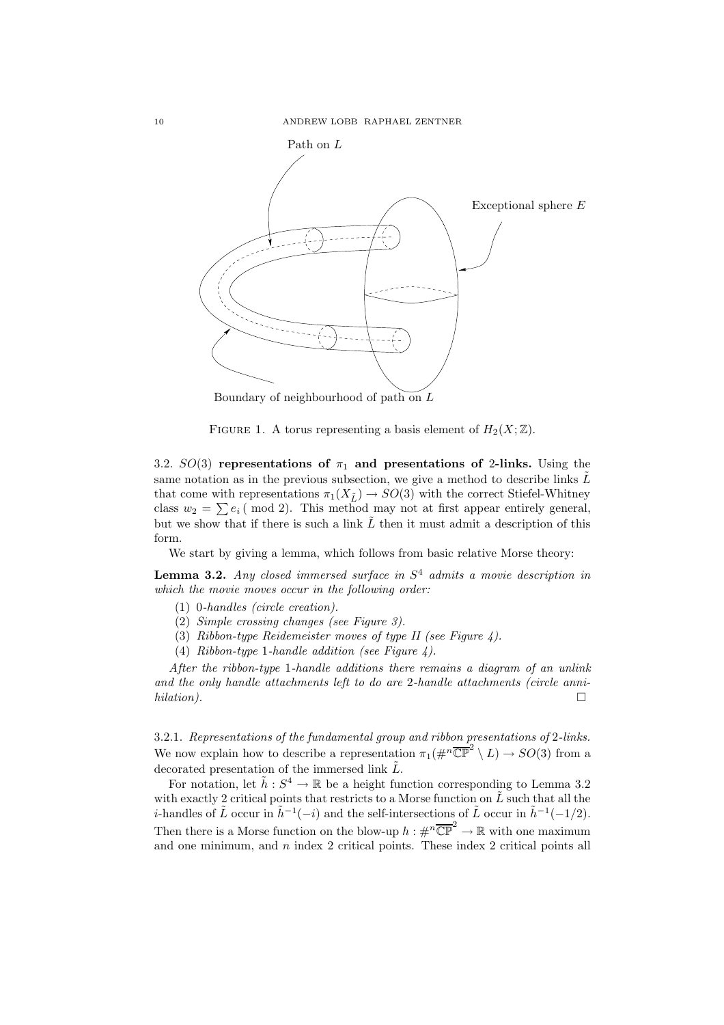

Boundary of neighbourhood of path on  $L$ 



3.2.  $SO(3)$  representations of  $\pi_1$  and presentations of 2-links. Using the same notation as in the previous subsection, we give a method to describe links  $\tilde{L}$ that come with representations  $\pi_1(X_{\tilde{L}}) \to SO(3)$  with the correct Stiefel-Whitney class  $w_2 = \sum e_i \pmod{2}$ . This method may not at first appear entirely general, but we show that if there is such a link  $\tilde{L}$  then it must admit a description of this form.

We start by giving a lemma, which follows from basic relative Morse theory:

Lemma 3.2. *Any closed immersed surface in* S <sup>4</sup> *admits a movie description in which the movie moves occur in the following order:*

- (1) 0*-handles (circle creation).*
- (2) *Simple crossing changes (see Figure 3).*
- (3) *Ribbon-type Reidemeister moves of type II (see Figure 4).*
- (4) *Ribbon-type* 1*-handle addition (see Figure 4).*

*After the ribbon-type* 1*-handle additions there remains a diagram of an unlink and the only handle attachments left to do are* 2*-handle attachments (circle annihilation).*

3.2.1. *Representations of the fundamental group and ribbon presentations of* 2*-links.* We now explain how to describe a representation  $\pi_1(\#^n\overline{\mathbb{CP}}^2 \setminus L) \to SO(3)$  from a decorated presentation of the immersed link  $\tilde{L}$ .

For notation, let  $\tilde{h}: S^4 \to \mathbb{R}$  be a height function corresponding to Lemma 3.2 with exactly 2 critical points that restricts to a Morse function on  $\tilde{L}$  such that all the *i*-handles of  $\tilde{L}$  occur in  $\tilde{h}^{-1}(-i)$  and the self-intersections of  $\tilde{L}$  occur in  $\tilde{h}^{-1}(-1/2)$ . Then there is a Morse function on the blow-up  $h : \#^n \overline{\mathbb{CP}}^2 \to \mathbb{R}$  with one maximum and one minimum, and  $n$  index 2 critical points. These index 2 critical points all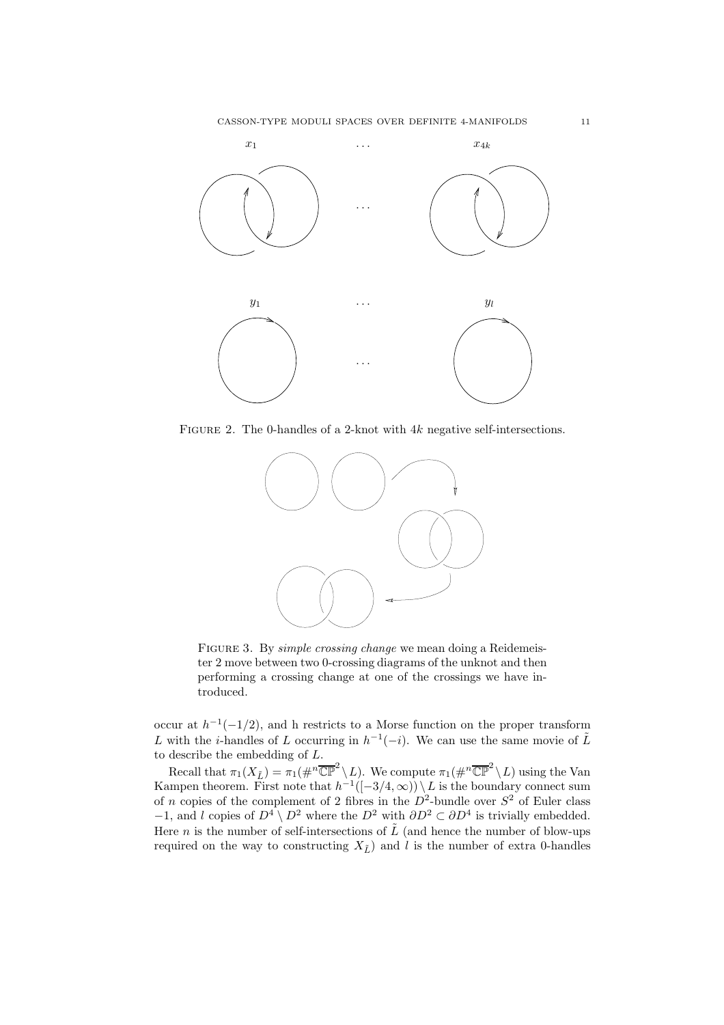

FIGURE 2. The 0-handles of a 2-knot with  $4k$  negative self-intersections.



Figure 3. By *simple crossing change* we mean doing a Reidemeister 2 move between two 0-crossing diagrams of the unknot and then performing a crossing change at one of the crossings we have introduced.

occur at  $h^{-1}(-1/2)$ , and h restricts to a Morse function on the proper transform L with the *i*-handles of L occurring in  $h^{-1}(-i)$ . We can use the same movie of  $\tilde{L}$ to describe the embedding of L.

Recall that  $\pi_1(X_{\tilde{L}}) = \pi_1(\#^n \overline{\mathbb{CP}}^2 \setminus L)$ . We compute  $\pi_1(\#^n \overline{\mathbb{CP}}^2 \setminus L)$  using the Van Kampen theorem. First note that  $h^{-1}([-3/4,\infty)) \setminus L$  is the boundary connect sum of n copies of the complement of 2 fibres in the  $D^2$ -bundle over  $S^2$  of Euler class −1, and l copies of  $D^4 \setminus D^2$  where the  $D^2$  with  $\partial D^2 \subset \partial D^4$  is trivially embedded. Here *n* is the number of self-intersections of  $\tilde{L}$  (and hence the number of blow-ups required on the way to constructing  $X_{\tilde{L}}$  and l is the number of extra 0-handles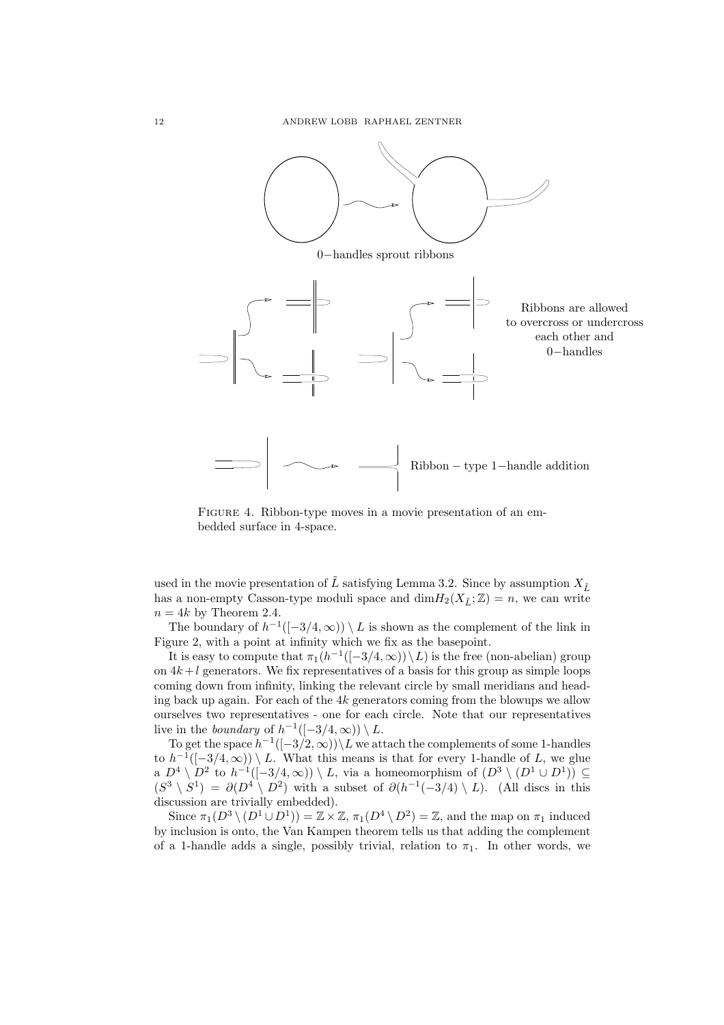

FIGURE 4. Ribbon-type moves in a movie presentation of an embedded surface in 4-space.

used in the movie presentation of  $\tilde{L}$  satisfying Lemma 3.2. Since by assumption  $X_{\tilde{L}}$ has a non-empty Casson-type moduli space and  $\dim H_2(X_{\tilde{L}}; \mathbb{Z}) = n$ , we can write  $n = 4k$  by Theorem 2.4.

The boundary of  $h^{-1}([-3/4,\infty)) \setminus L$  is shown as the complement of the link in Figure 2, with a point at infinity which we fix as the basepoint.

It is easy to compute that  $\pi_1(h^{-1}([-3/4,\infty)) \setminus L)$  is the free (non-abelian) group on  $4k+l$  generators. We fix representatives of a basis for this group as simple loops coming down from infinity, linking the relevant circle by small meridians and heading back up again. For each of the  $4k$  generators coming from the blowups we allow ourselves two representatives - one for each circle. Note that our representatives live in the *boundary* of  $h^{-1}([-3/4, \infty)) \setminus L$ .

To get the space  $h^{-1}([-3/2,\infty))\backslash L$  we attach the complements of some 1-handles to  $h^{-1}([-3/4,\infty)) \setminus L$ . What this means is that for every 1-handle of L, we glue a  $D^4 \setminus D^2$  to  $h^{-1}([-3/4,\infty)) \setminus L$ , via a homeomorphism of  $(D^3 \setminus (D^1 \cup D^1)) \subseteq$  $(S^3 \setminus S^1) = \partial(D^4 \setminus D^2)$  with a subset of  $\partial(h^{-1}(-3/4) \setminus L)$ . (All discs in this discussion are trivially embedded).

Since  $\pi_1(D^3 \setminus (D^1 \cup D^1)) = \mathbb{Z} \times \mathbb{Z}$ ,  $\pi_1(D^4 \setminus D^2) = \mathbb{Z}$ , and the map on  $\pi_1$  induced by inclusion is onto, the Van Kampen theorem tells us that adding the complement of a 1-handle adds a single, possibly trivial, relation to  $\pi_1$ . In other words, we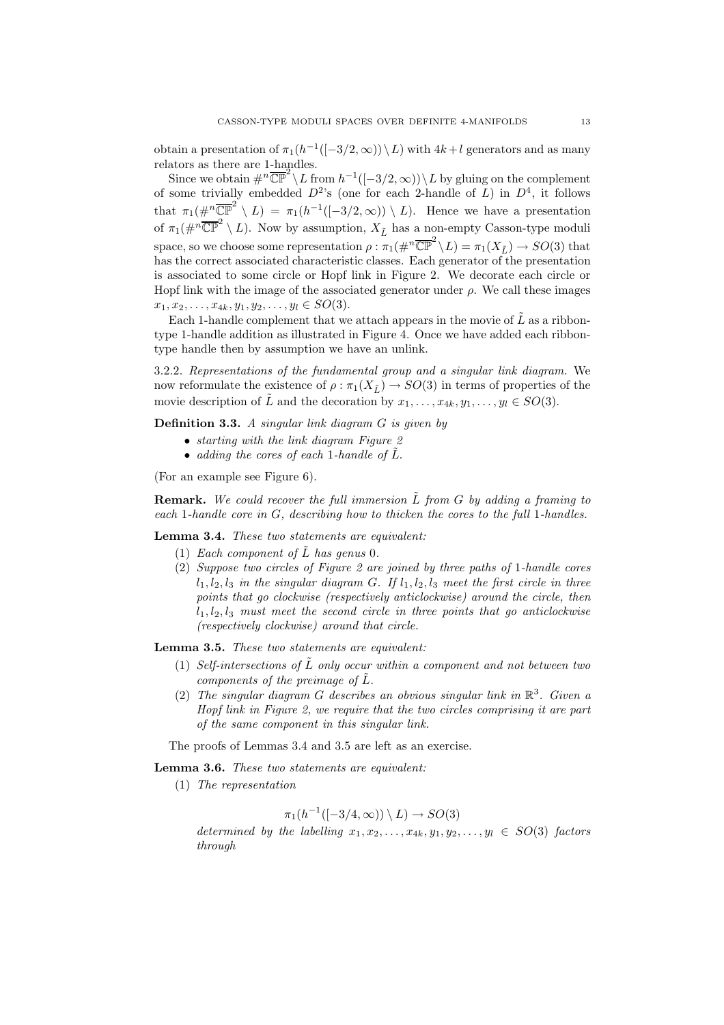obtain a presentation of  $\pi_1(h^{-1}([-3/2,\infty))\setminus L$  with  $4k+l$  generators and as many relators as there are 1-handles.

Since we obtain  $\#^n \overline{\mathbb{CP}}^2 \setminus L$  from  $h^{-1}([-3/2, \infty)) \setminus L$  by gluing on the complement of some trivially embedded  $D^2$ 's (one for each 2-handle of L) in  $D^4$ , it follows that  $\pi_1(\#^n \overline{\mathbb{CP}}^2 \setminus L) = \pi_1(h^{-1}([-3/2, \infty)) \setminus L)$ . Hence we have a presentation of  $\pi_1(\#^n\overline{\mathbb{CP}}^2 \setminus L)$ . Now by assumption,  $X_{\tilde{L}}$  has a non-empty Casson-type moduli space, so we choose some representation  $\rho : \pi_1(\#^n \overline{\mathbb{CP}}^2 \setminus L) = \pi_1(X_{\tilde{L}}) \to SO(3)$  that has the correct associated characteristic classes. Each generator of the presentation is associated to some circle or Hopf link in Figure 2. We decorate each circle or Hopf link with the image of the associated generator under  $\rho$ . We call these images  $x_1, x_2, \ldots, x_{4k}, y_1, y_2, \ldots, y_l \in SO(3).$ 

Each 1-handle complement that we attach appears in the movie of  $L$  as a ribbontype 1-handle addition as illustrated in Figure 4. Once we have added each ribbontype handle then by assumption we have an unlink.

3.2.2. *Representations of the fundamental group and a singular link diagram.* We now reformulate the existence of  $\rho : \pi_1(X_{\tilde{L}}) \to SO(3)$  in terms of properties of the movie description of  $\tilde{L}$  and the decoration by  $x_1, \ldots, x_{4k}, y_1, \ldots, y_l \in SO(3)$ .

Definition 3.3. *A singular link diagram* G *is given by*

- *starting with the link diagram Figure 2*
- *adding the cores of each* 1*-handle of* L˜.

(For an example see Figure 6).

**Remark.** We could recover the full immersion  $\tilde{L}$  from  $G$  by adding a framing to *each* 1*-handle core in* G*, describing how to thicken the cores to the full* 1*-handles.*

Lemma 3.4. *These two statements are equivalent:*

- (1) *Each component of*  $\tilde{L}$  *has genus* 0*.*
- (2) *Suppose two circles of Figure 2 are joined by three paths of* 1*-handle cores*  $l_1, l_2, l_3$  *in the singular diagram G. If*  $l_1, l_2, l_3$  *meet the first circle in three points that go clockwise (respectively anticlockwise) around the circle, then*  $l_1, l_2, l_3$  *must meet the second circle in three points that go anticlockwise (respectively clockwise) around that circle.*

Lemma 3.5. *These two statements are equivalent:*

- (1) *Self-intersections of*  $\tilde{L}$  *only occur within a component and not between two components of the preimage of*  $\tilde{L}$ *.*
- (2) *The singular diagram* G *describes an obvious singular link in* R 3 *. Given a Hopf link in Figure 2, we require that the two circles comprising it are part of the same component in this singular link.*

The proofs of Lemmas 3.4 and 3.5 are left as an exercise.

Lemma 3.6. *These two statements are equivalent:*

(1) *The representation*

$$
\pi_1(h^{-1}([-3/4,\infty)) \setminus L) \to SO(3)
$$

*determined by the labelling*  $x_1, x_2, \ldots, x_{4k}, y_1, y_2, \ldots, y_l \in SO(3)$  *factors through*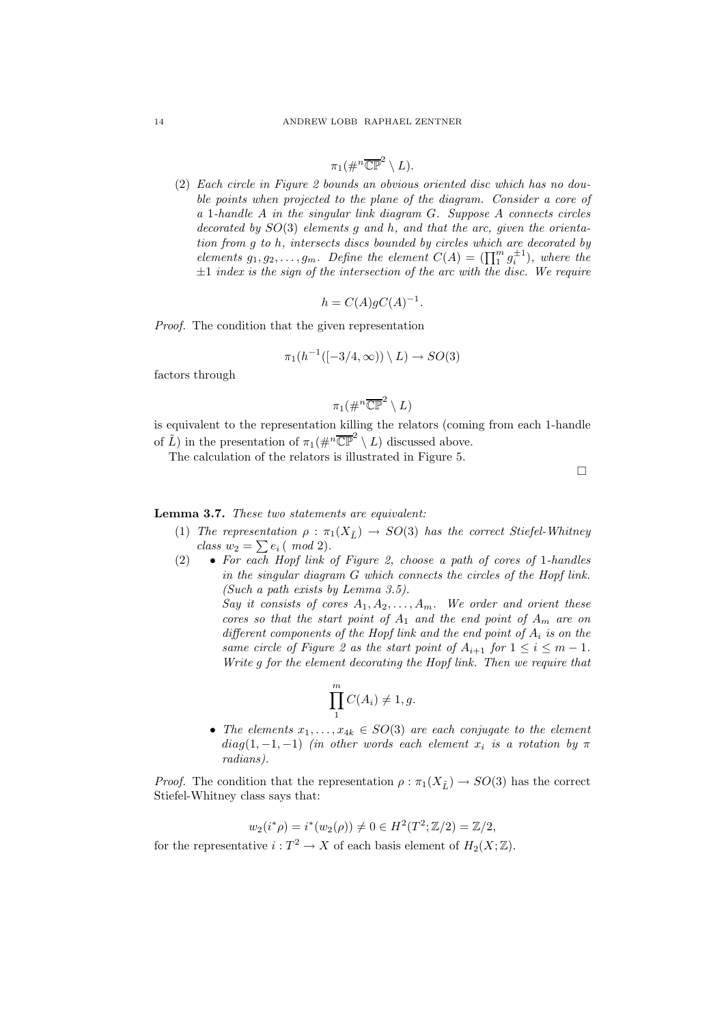$$
\pi_1(\#^n\overline{\mathbb{CP}}^2\setminus L).
$$

(2) *Each circle in Figure 2 bounds an obvious oriented disc which has no double points when projected to the plane of the diagram. Consider a core of a* 1*-handle* A *in the singular link diagram* G*. Suppose* A *connects circles decorated by* SO(3) *elements* g *and* h*, and that the arc, given the orientation from* g *to* h*, intersects discs bounded by circles which are decorated by elements*  $g_1, g_2, \ldots, g_m$ . Define the element  $C(A) = (\prod_1^m g_i^{\pm 1})$ , where the ±1 *index is the sign of the intersection of the arc with the disc. We require*

$$
h = C(A)gC(A)^{-1}.
$$

*Proof.* The condition that the given representation

$$
\pi_1(h^{-1}([-3/4,\infty)) \setminus L) \to SO(3)
$$

factors through

$$
\pi_1 (\#^n \overline{\mathbb{CP}}^2 \setminus L)
$$

is equivalent to the representation killing the relators (coming from each 1-handle of  $\tilde{L}$ ) in the presentation of  $\pi_1(\#^n \overline{\mathbb{CP}}^2 \setminus L)$  discussed above.

The calculation of the relators is illustrated in Figure 5.

 $\Box$ 

# Lemma 3.7. *These two statements are equivalent:*

- (1) *The representation*  $\rho : \pi_1(X_{\tilde{t}}) \rightarrow SO(3)$  *has the correct Stiefel-Whitney class*  $w_2 = \sum e_i ( \mod 2).$
- (2) *For each Hopf link of Figure 2, choose a path of cores of* 1*-handles in the singular diagram* G *which connects the circles of the Hopf link. (Such a path exists by Lemma 3.5).*

*Say it consists of cores*  $A_1, A_2, \ldots, A_m$ *. We order and orient these cores so that the start point of*  $A_1$  *and the end point of*  $A_m$  *are on different components of the Hopf link and the end point of* A<sup>i</sup> *is on the same circle of Figure 2 as the start point of*  $A_{i+1}$  *for*  $1 \leq i \leq m-1$ *. Write* g *for the element decorating the Hopf link. Then we require that*

$$
\prod_{1}^{m} C(A_i) \neq 1, g.
$$

• The elements  $x_1, \ldots, x_{4k} \in SO(3)$  are each conjugate to the element  $diag(1, -1, -1)$  *(in other words each element*  $x_i$  *is a rotation by*  $\pi$ *radians).*

*Proof.* The condition that the representation  $\rho : \pi_1(X_{\tilde{L}}) \to SO(3)$  has the correct Stiefel-Whitney class says that:

$$
w_2(i^*\rho) = i^*(w_2(\rho)) \neq 0 \in H^2(T^2; \mathbb{Z}/2) = \mathbb{Z}/2,
$$

for the representative  $i: T^2 \to X$  of each basis element of  $H_2(X; \mathbb{Z})$ .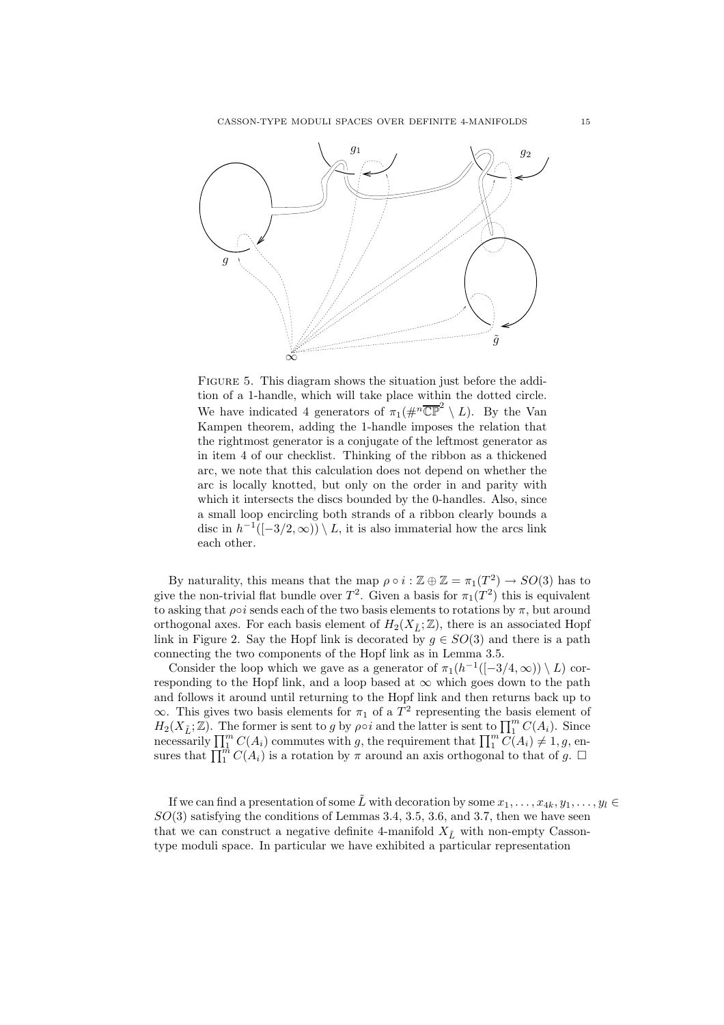

FIGURE 5. This diagram shows the situation just before the addition of a 1-handle, which will take place within the dotted circle. We have indicated 4 generators of  $\pi_1(\#^n\overline{\mathbb{CP}}^2 \setminus L)$ . By the Van Kampen theorem, adding the 1-handle imposes the relation that the rightmost generator is a conjugate of the leftmost generator as in item 4 of our checklist. Thinking of the ribbon as a thickened arc, we note that this calculation does not depend on whether the arc is locally knotted, but only on the order in and parity with which it intersects the discs bounded by the 0-handles. Also, since a small loop encircling both strands of a ribbon clearly bounds a disc in  $h^{-1}([-3/2,\infty)) \setminus L$ , it is also immaterial how the arcs link each other.

By naturality, this means that the map  $\rho \circ i : \mathbb{Z} \oplus \mathbb{Z} = \pi_1(T^2) \to SO(3)$  has to give the non-trivial flat bundle over  $T^2$ . Given a basis for  $\pi_1(T^2)$  this is equivalent to asking that  $\rho \circ i$  sends each of the two basis elements to rotations by  $\pi$ , but around orthogonal axes. For each basis element of  $H_2(X_{\tilde{L}};\mathbb{Z})$ , there is an associated Hopf link in Figure 2. Say the Hopf link is decorated by  $g \in SO(3)$  and there is a path connecting the two components of the Hopf link as in Lemma 3.5.

Consider the loop which we gave as a generator of  $\pi_1(h^{-1}([-3/4,\infty)) \setminus L$  corresponding to the Hopf link, and a loop based at  $\infty$  which goes down to the path and follows it around until returning to the Hopf link and then returns back up to  $\infty$ . This gives two basis elements for  $\pi_1$  of a  $T^2$  representing the basis element of  $H_2(X_{\tilde{L}};\mathbb{Z})$ . The former is sent to g by  $\rho \circ i$  and the latter is sent to  $\prod_1^m C(A_i)$ . Since necessarily  $\prod_{i=1}^{m} C(A_i)$  commutes with g, the requirement that  $\prod_{i=1}^{m} C(A_i) \neq 1, g$ , ensures that  $\prod_{i=1}^{m} C(A_i)$  is a rotation by  $\pi$  around an axis orthogonal to that of g.  $\Box$ 

If we can find a presentation of some  $\tilde{L}$  with decoration by some  $x_1, \ldots, x_{4k}, y_1, \ldots, y_l \in$  $SO(3)$  satisfying the conditions of Lemmas 3.4, 3.5, 3.6, and 3.7, then we have seen that we can construct a negative definite 4-manifold  $X_{\tilde{L}}$  with non-empty Cassontype moduli space. In particular we have exhibited a particular representation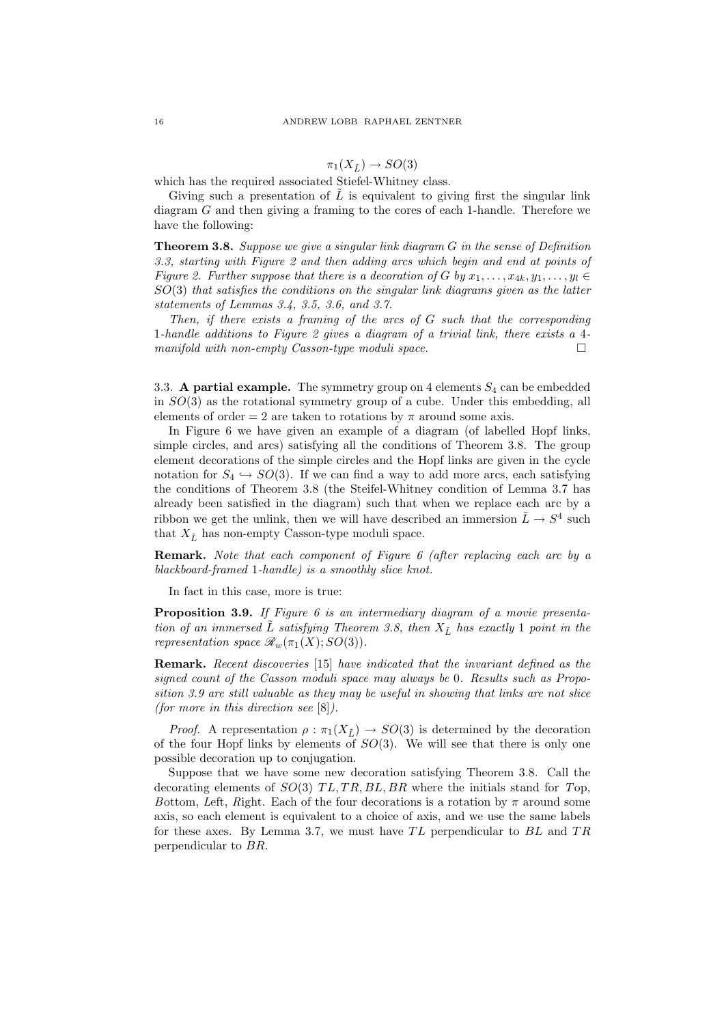$$
\pi_1(X_{\tilde{L}}) \to SO(3)
$$

which has the required associated Stiefel-Whitney class.

Giving such a presentation of  $\tilde{L}$  is equivalent to giving first the singular link diagram G and then giving a framing to the cores of each 1-handle. Therefore we have the following:

Theorem 3.8. *Suppose we give a singular link diagram* G *in the sense of Definition 3.3, starting with Figure 2 and then adding arcs which begin and end at points of Figure 2. Further suppose that there is a decoration of* G *by*  $x_1, \ldots, x_{4k}, y_1, \ldots, y_l \in$ SO(3) *that satisfies the conditions on the singular link diagrams given as the latter statements of Lemmas 3.4, 3.5, 3.6, and 3.7.*

*Then, if there exists a framing of the arcs of* G *such that the corresponding* 1*-handle additions to Figure 2 gives a diagram of a trivial link, there exists a* 4 *manifold with non-empty Casson-type moduli space.*

3.3. A partial example. The symmetry group on 4 elements  $S_4$  can be embedded in  $SO(3)$  as the rotational symmetry group of a cube. Under this embedding, all elements of order = 2 are taken to rotations by  $\pi$  around some axis.

In Figure 6 we have given an example of a diagram (of labelled Hopf links, simple circles, and arcs) satisfying all the conditions of Theorem 3.8. The group element decorations of the simple circles and the Hopf links are given in the cycle notation for  $S_4 \hookrightarrow SO(3)$ . If we can find a way to add more arcs, each satisfying the conditions of Theorem 3.8 (the Steifel-Whitney condition of Lemma 3.7 has already been satisfied in the diagram) such that when we replace each arc by a ribbon we get the unlink, then we will have described an immersion  $\tilde{L} \rightarrow S^4$  such that  $X_{\tilde{L}}$  has non-empty Casson-type moduli space.

Remark. *Note that each component of Figure 6 (after replacing each arc by a blackboard-framed* 1*-handle) is a smoothly slice knot.*

In fact in this case, more is true:

Proposition 3.9. *If Figure 6 is an intermediary diagram of a movie presentation of an immersed*  $\tilde{L}$  *satisfying Theorem 3.8, then*  $X_{\tilde{L}}$  *has exactly* 1 *point in the representation space*  $\mathcal{R}_w(\pi_1(X); SO(3))$ *.* 

Remark. *Recent discoveries* [15] *have indicated that the invariant defined as the signed count of the Casson moduli space may always be* 0*. Results such as Proposition 3.9 are still valuable as they may be useful in showing that links are not slice (for more in this direction see* [8]*).*

*Proof.* A representation  $\rho : \pi_1(X_{\tilde{L}}) \to SO(3)$  is determined by the decoration of the four Hopf links by elements of  $SO(3)$ . We will see that there is only one possible decoration up to conjugation.

Suppose that we have some new decoration satisfying Theorem 3.8. Call the decorating elements of  $SO(3)$   $TL, TR, BL, BR$  where the initials stand for  $Top$ , *Bottom, Left, Right.* Each of the four decorations is a rotation by  $\pi$  around some axis, so each element is equivalent to a choice of axis, and we use the same labels for these axes. By Lemma 3.7, we must have  $TL$  perpendicular to  $BL$  and  $TR$ perpendicular to BR.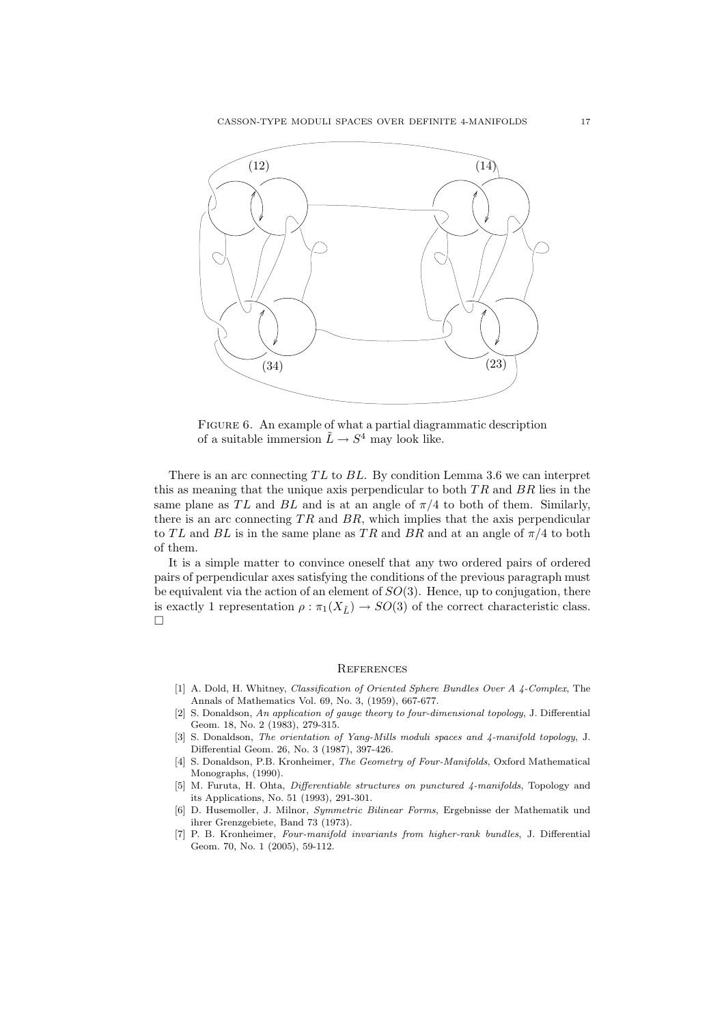

FIGURE 6. An example of what a partial diagrammatic description of a suitable immersion  $\tilde{L} \to S^4$  may look like.

There is an arc connecting  $TL$  to  $BL$ . By condition Lemma 3.6 we can interpret this as meaning that the unique axis perpendicular to both  $TR$  and  $BR$  lies in the same plane as TL and BL and is at an angle of  $\pi/4$  to both of them. Similarly, there is an arc connecting  $TR$  and  $BR$ , which implies that the axis perpendicular to TL and BL is in the same plane as TR and BR and at an angle of  $\pi/4$  to both of them.

It is a simple matter to convince oneself that any two ordered pairs of ordered pairs of perpendicular axes satisfying the conditions of the previous paragraph must be equivalent via the action of an element of  $SO(3)$ . Hence, up to conjugation, there is exactly 1 representation  $\rho : \pi_1(X_{\tilde{L}}) \to SO(3)$  of the correct characteristic class.  $\Box$ 

#### **REFERENCES**

- [1] A. Dold, H. Whitney, Classification of Oriented Sphere Bundles Over A 4-Complex, The Annals of Mathematics Vol. 69, No. 3, (1959), 667-677.
- [2] S. Donaldson, An application of gauge theory to four-dimensional topology, J. Differential Geom. 18, No. 2 (1983), 279-315.
- [3] S. Donaldson, The orientation of Yang-Mills moduli spaces and  $\lambda$ -manifold topology, J. Differential Geom. 26, No. 3 (1987), 397-426.
- [4] S. Donaldson, P.B. Kronheimer, The Geometry of Four-Manifolds, Oxford Mathematical Monographs, (1990).
- [5] M. Furuta, H. Ohta, *Differentiable structures on punctured 4-manifolds*, Topology and its Applications, No. 51 (1993), 291-301.
- [6] D. Husemoller, J. Milnor, Symmetric Bilinear Forms, Ergebnisse der Mathematik und ihrer Grenzgebiete, Band 73 (1973).
- [7] P. B. Kronheimer, Four-manifold invariants from higher-rank bundles, J. Differential Geom. 70, No. 1 (2005), 59-112.